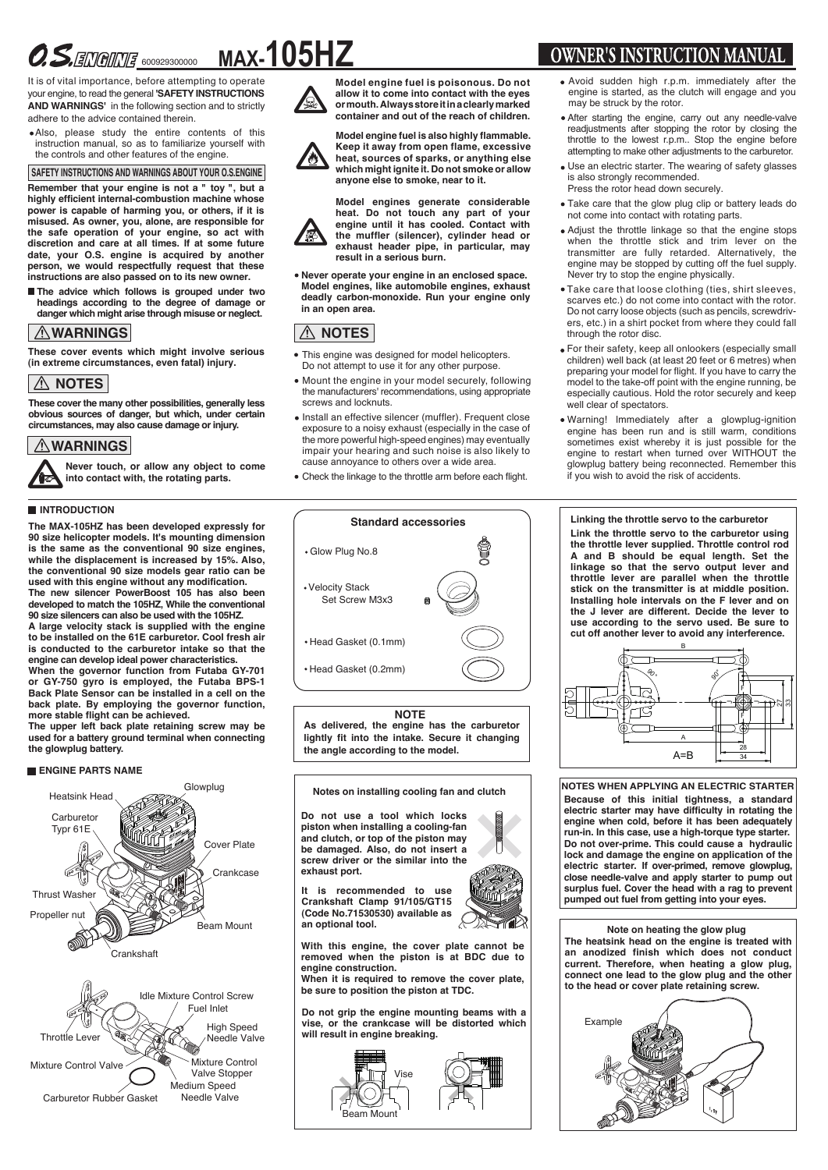# $\mathcal{OS}$ . ENGINE 600929300000 **MAX-105HZ**

It is of vital importance, before attempting to operate your engine, to read the general **'SAFETY INSTRUCTIONS AND WARNINGS'** in the following section and to strictly adhere to the advice contained therein.

Also, please study the entire contents of this instruction manual, so as to familiarize yourself with the controls and other features of the engine.

**SAFETY INSTRUCTIONS AND WARNINGS ABOUT YOUR O.S.ENGINE**

**Remember that your engine is not a " toy ", but a highly efficient internal-combustion machine whose power is capable of harming you, or others, if it is misused. As owner, you, alone, are responsible for the safe operation of your engine, so act with discretion and care at all times. If at some future date, your O.S. engine is acquired by another person, we would respectfully request that these instructions are also passed on to its new owner.**

**The advice which follows is grouped under two headings according to the degree of damage or danger which might arise through misuse or neglect.**

# **WARNINGS**

**These cover events which might involve serious (in extreme circumstances, even fatal) injury.**

# **NOTES**

**These cover the many other possibilities, generally less obvious sources of danger, but which, under certain circumstances, may also cause damage or injury.**

# **WARNINGS**

**Never touch, or allow any object to come into contact with, the rotating parts.**

#### **INTRODUCTION**

**The MAX-105HZ has been developed expressly for 90 size helicopter models. It's mounting dimension is the same as the conventional 90 size engines, while the displacement is increased by 15%. Also, the conventional 90 size models gear ratio can be used with this engine without any modification. The new silencer PowerBoost 105 has also been developed to match the 105HZ, While the conventional 90 size silencers can also be used with the 105HZ.**

**A large velocity stack is supplied with the engine to be installed on the 61E carburetor. Cool fresh air is conducted to the carburetor intake so that the engine can develop ideal power characteristics.**

**When the governor function from Futaba GY-701 or GY-750 gyro is employed, the Futaba BPS-1 Back Plate Sensor can be installed in a cell on the back plate. By employing the governor function, more stable flight can be achieved.**

**The upper left back plate retaining screw may be used for a battery ground terminal when connecting the glowplug battery.**

#### **ENGINE PARTS NAME**





**Model engine fuel is poisonous. Do not allow it to come into contact with the eyes or mouth. Always store it in a clearly marked container and out of the reach of children.**



**Model engine fuel is also highly flammable. Keep it away from open flame, excessive heat, sources of sparks, or anything else which might ignite it. Do not smoke or allow anyone else to smoke, near to it.**

**Model engines generate considerable heat. Do not touch any part of your engine until it has cooled. Contact with the muffler (silencer), cylinder head or exhaust header pipe, in particular, may result in a serious burn.**

**Never operate your engine in an enclosed space. Model engines, like automobile engines, exhaust deadly carbon-monoxide. Run your engine only in an open area.**

# **NOTES**

- This engine was designed for model helicopters. Do not attempt to use it for any other purpose.
- Mount the engine in your model securely, following the manufacturers' recommendations, using appropriate screws and locknuts.
- Install an effective silencer (muffler). Frequent close exposure to a noisy exhaust (especially in the case of the more powerful high-speed engines) may eventually impair your hearing and such noise is also likely to cause annoyance to others over a wide area.
- Check the linkage to the throttle arm before each flight.

# Glow Plug No.8 **Standard accessories** Head Gasket (0.2mm) Head Gasket (0.1mm) Velocity Stack Set Screw M3x3

**NOTE**

**As delivered, the engine has the carburetor lightly fit into the intake. Secure it changing the angle according to the model.**

**Notes on installing cooling fan and clutch**

**Do not use a tool which locks piston when installing a cooling-fan and clutch, or top of the piston may be damaged. Also, do not insert a screw driver or the similar into the exhaust port.**

**It is recommended to use Crankshaft Clamp 91/105/GT15 (Code No.71530530) available as an optional tool.** 



**When it is required to remove the cover plate, be sure to position the piston at TDC.**

**Do not grip the engine mounting beams with a vise, or the crankcase will be distorted which will result in engine breaking.** 



# **OWNER'S INSTRUCTION MANUAL**

- Avoid sudden high r.p.m. immediately after the engine is started, as the clutch will engage and you may be struck by the rotor.
- After starting the engine, carry out any needle-valve readjustments after stopping the rotor by closing the throttle to the lowest r.p.m.. Stop the engine before attempting to make other adjustments to the carburetor.
- Use an electric starter. The wearing of safety glasses is also strongly recommended. Press the rotor head down securely.
- Take care that the glow plug clip or battery leads do not come into contact with rotating parts.
- Adjust the throttle linkage so that the engine stops when the throttle stick and trim lever on the transmitter are fully retarded. Alternatively, the engine may be stopped by cutting off the fuel supply. Never try to stop the engine physically.
- Take care that loose clothing (ties, shirt sleeves, scarves etc.) do not come into contact with the rotor. Do not carry loose objects (such as pencils, screwdrivers, etc.) in a shirt pocket from where they could fall through the rotor disc.
- For their safety, keep all onlookers (especially small children) well back (at least 20 feet or 6 metres) when preparing your model for flight. If you have to carry the model to the take-off point with the engine running, be especially cautious. Hold the rotor securely and keep well clear of spectators
- Warning! lmmediately after a glowplug-ignition engine has been run and is still warm, conditions sometimes exist whereby it is just possible for the engine to restart when turned over WITHOUT the glowplug battery being reconnected. Remember this if you wish to avoid the risk of accidents.

## **Linking the throttle servo to the carburetor**

**Link the throttle servo to the carburetor using the throttle lever supplied. Throttle control rod A and B should be equal length. Set the linkage so that the servo output lever and throttle lever are parallel when the throttle stick on the transmitter is at middle position. Installing hole intervals on the F lever and on the J lever are different. Decide the lever to use according to the servo used. Be sure to cut off another lever to avoid any interference.**



**NOTES WHEN APPLYING AN ELECTRIC STARTER Because of this initial tightness, a standard electric starter may have difficulty in rotating the engine when cold, before it has been adequately run-in. In this case, use a high-torque type starter. Do not over-prime. This could cause a hydraulic lock and damage the engine on application of the electric starter. If over-primed, remove glowplug, close needle-valve and apply starter to pump out surplus fuel. Cover the head with a rag to prevent pumped out fuel from getting into your eyes.**

### **Note on heating the glow plug**

**The heatsink head on the engine is treated with an anodized finish which does not conduct current. Therefore, when heating a glow plug, connect one lead to the glow plug and the other to the head or cover plate retaining screw.** 

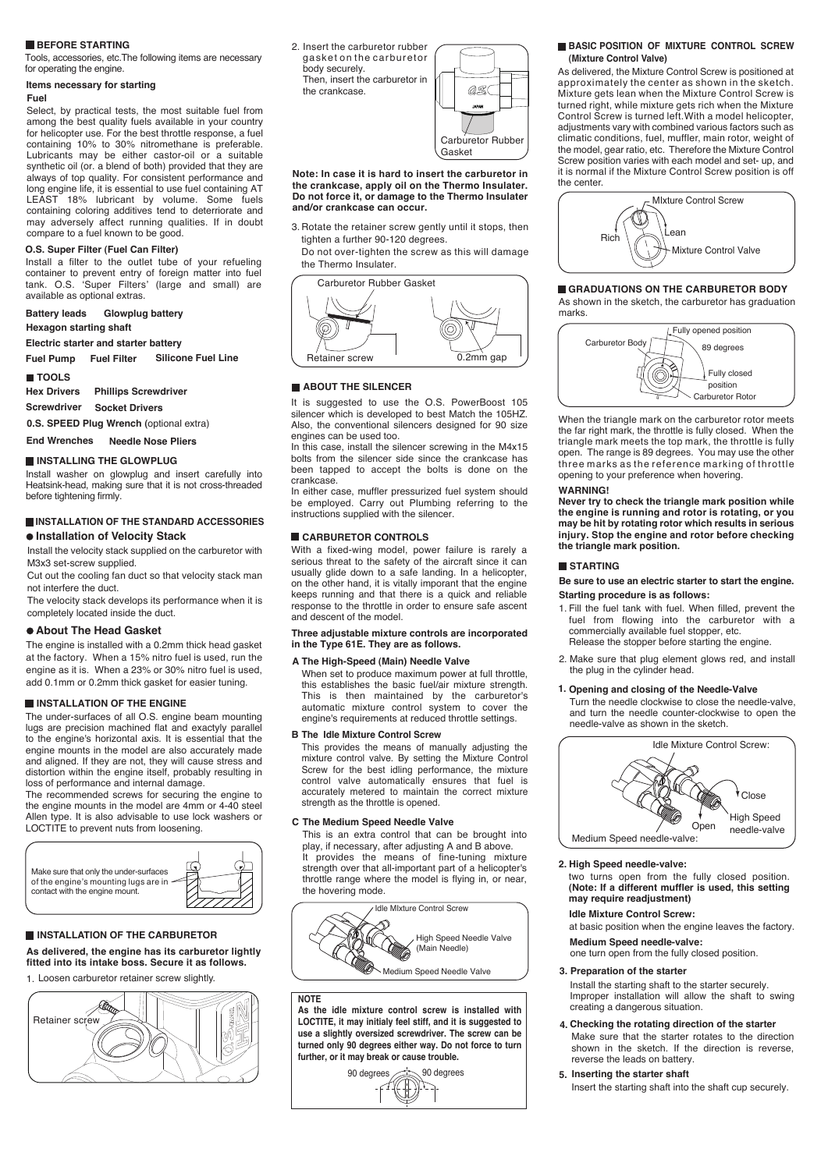#### **BEFORE STARTING**

Tools, accessories, etc.The following items are necessary for operating the engine.

#### **Items necessary for starting**

#### **Fuel**

Select, by practical tests, the most suitable fuel from among the best quality fuels available in your country for helicopter use. For the best throttle response, a fuel containing 10% to 30% nitromethane is preferable. Lubricants may be either castor-oil or a suitable synthetic oil (or. a blend of both) provided that they are always of top quality. For consistent performance and long engine life, it is essential to use fuel containing AT LEAST 18% lubricant by volume. Some fuels containing coloring additives tend to deterriorate and may adversely affect running qualities. If in doubt compare to a fuel known to be good.

#### **O.S. Super Filter (Fuel Can Filter)**

Install a filter to the outlet tube of your refueling container to prevent entry of foreign matter into fuel tank. O.S. 'Super Filters' (large and small) are available as optional extras.

#### **Battery leads Hexagon starting shaft Glowplug battery**

**Electric starter and starter battery** 

**Fuel Pump Fuel Filter Silicone Fuel Line**

#### **TOOLS**

**Phillips Screwdriver Hex Drivers**

**Screwdriver Socket Drivers**

**0.S. SPEED Plug Wrench (**optional extra)

**End Wrenches Needle Nose Pliers**

#### **INSTALLING THE GLOWPLUG**

Install washer on glowplug and insert carefully into Heatsink-head, making sure that it is not cross-threaded before tightening firmly.

#### **INSTALLATION OF THE STANDARD ACCESSORIES Installation of Velocity Stack**

Install the velocity stack supplied on the carburetor with M3x3 set-screw supplied.

Cut out the cooling fan duct so that velocity stack man not interfere the duct.

The velocity stack develops its performance when it is completely located inside the duct.

#### **About The Head Gasket**

The engine is installed with a 0.2mm thick head gasket at the factory. When a 15% nitro fuel is used, run the engine as it is. When a 23% or 30% nitro fuel is used, add 0.1mm or 0.2mm thick gasket for easier tuning.

#### **INSTALLATION OF THE ENGINE**

The under-surfaces of all O.S. engine beam mounting lugs are precision machined flat and exactyly parallel to the engine's horizontal axis. It is essential that the engine mounts in the model are also accurately made and aligned. If they are not, they will cause stress and distortion within the engine itself, probably resulting in loss of performance and internal damage.

The recommended screws for securing the engine to the engine mounts in the model are 4mm or 4-40 steel Allen type. It is also advisable to use lock washers or LOCTITE to prevent nuts from loosening.



#### **INSTALLATION OF THE CARBURETOR**

**As delivered, the engine has its carburetor lightly fitted into its intake boss. Secure it as follows.**

1. Loosen carburetor retainer screw slightly.



2. Insert the carburetor rubber gasket on the carburetor body securely. Then, insert the carburetor in the crankcase.



**Note: In case it is hard to insert the carburetor in the crankcase, apply oil on the Thermo Insulater. Do not force it, or damage to the Thermo Insulater and/or crankcase can occur.**

3. Rotate the retainer screw gently until it stops, then tighten a further 90-120 degrees.

Do not over-tighten the screw as this will damage the Thermo Insulater.

Carburetor Rubber Gasket



#### **ABOUT THE SILENCER**

It is suggested to use the O.S. PowerBoost 105 silencer which is developed to best Match the 105HZ. Also, the conventional silencers designed for 90 size engines can be used too.

In this case, install the silencer screwing in the M4x15 bolts from the silencer side since the crankcase has been tapped to accept the bolts is done on the crankcase.

In either case, muffler pressurized fuel system should be employed. Carry out Plumbing referring to the instructions supplied with the silencer.

#### **CARBURETOR CONTROLS**

With a fixed-wing model, power failure is rarely a serious threat to the safety of the aircraft since it can usually glide down to a safe landing. In a helicopter, on the other hand, it is vitally imporant that the engine keeps running and that there is a quick and reliable response to the throttle in order to ensure safe ascent and descent of the model.

**Three adjustable mixture controls are incorporated in the Type 61E. They are as follows.**

#### **The High-Speed (Main) Needle Valve A**

When set to produce maximum power at full throttle, this establishes the basic fuel/air mixture strength. This is then maintained by the carburetor's automatic mixture control system to cover the engine's requirements at reduced throttle settings.

#### **The Idle Mixture Control Screw B**

This provides the means of manually adjusting the mixture control valve. By setting the Mixture Control Screw for the best idling performance, the mixture control valve automatically ensures that fuel is accurately metered to maintain the correct mixture strength as the throttle is opened.

#### **The Medium Speed Needle Valve C**

This is an extra control that can be brought into play, if necessary, after adjusting A and B above. It provides the means of fine-tuning mixture strength over that all-important part of a helicopter's throttle range where the model is flying in, or near, the hovering mode.



#### **NOTE**

**As the idle mixture control screw is installed with LOCTITE, it may initialy feel stiff, and it is suggested to use a slightly oversized screwdriver. The screw can be turned only 90 degrees either way. Do not force to turn further, or it may break or cause trouble.**

# 90 degrees  $\implies$  90 degrees

#### **BASIC POSITION OF MIXTURE CONTROL SCREW (Mixture Control Valve)**

As delivered, the Mixture Control Screw is positioned at approximately the center as shown in the sketch. Mixture gets lean when the Mixture Control Screw is turned right, while mixture gets rich when the Mixture Control Screw is turned left.With a model helicopter, adjustments vary with combined various factors such as climatic conditions, fuel, muffler, main rotor, weight of the model, gear ratio, etc. Therefore the Mixture Control Screw position varies with each model and set- up, and it is normal if the Mixture Control Screw position is off the center.



#### As shown in the sketch, the carburetor has graduation marks. **GRADUATIONS ON THE CARBURETOR BODY**



When the triangle mark on the carburetor rotor meets the far right mark, the throttle is fully closed. When the triangle mark meets the top mark, the throttle is fully open. The range is 89 degrees. You may use the other three marks as the reference marking of throttle opening to your preference when hovering.

#### **WARNING!**

**Never try to check the triangle mark position while the engine is running and rotor is rotating, or you may be hit by rotating rotor which results in serious injury. Stop the engine and rotor before checking the triangle mark position.**

#### **STARTING**

**Be sure to use an electric starter to start the engine. Starting procedure is as follows:**

- Fill the fuel tank with fuel. When filled, prevent the 1. fuel from flowing into the carburetor with a commercially available fuel stopper, etc. Release the stopper before starting the engine.
- 2. Make sure that plug element glows red, and install the plug in the cylinder head.

#### **1. Opening and closing of the Needle-Valve**

Turn the needle clockwise to close the needle-valve, and turn the needle counter-clockwise to open the needle-valve as shown in the sketch.



#### **2. High Speed needle-valve:**

two turns open from the fully closed position. **(Note: If a different muffler is used, this setting may require readjustment)**

#### **Idle Mixture Control Screw:**

at basic position when the engine leaves the factory.

one turn open from the fully closed position. **Medium Speed needle-valve:**

#### **3. Preparation of the starter**

Install the starting shaft to the starter securely. Improper installation will allow the shaft to swing creating a dangerous situation.

- **4. Checking the rotating direction of the starter** Make sure that the starter rotates to the direction shown in the sketch. If the direction is reverse, reverse the leads on battery.
- **5. Inserting the starter shaft**

Insert the starting shaft into the shaft cup securely.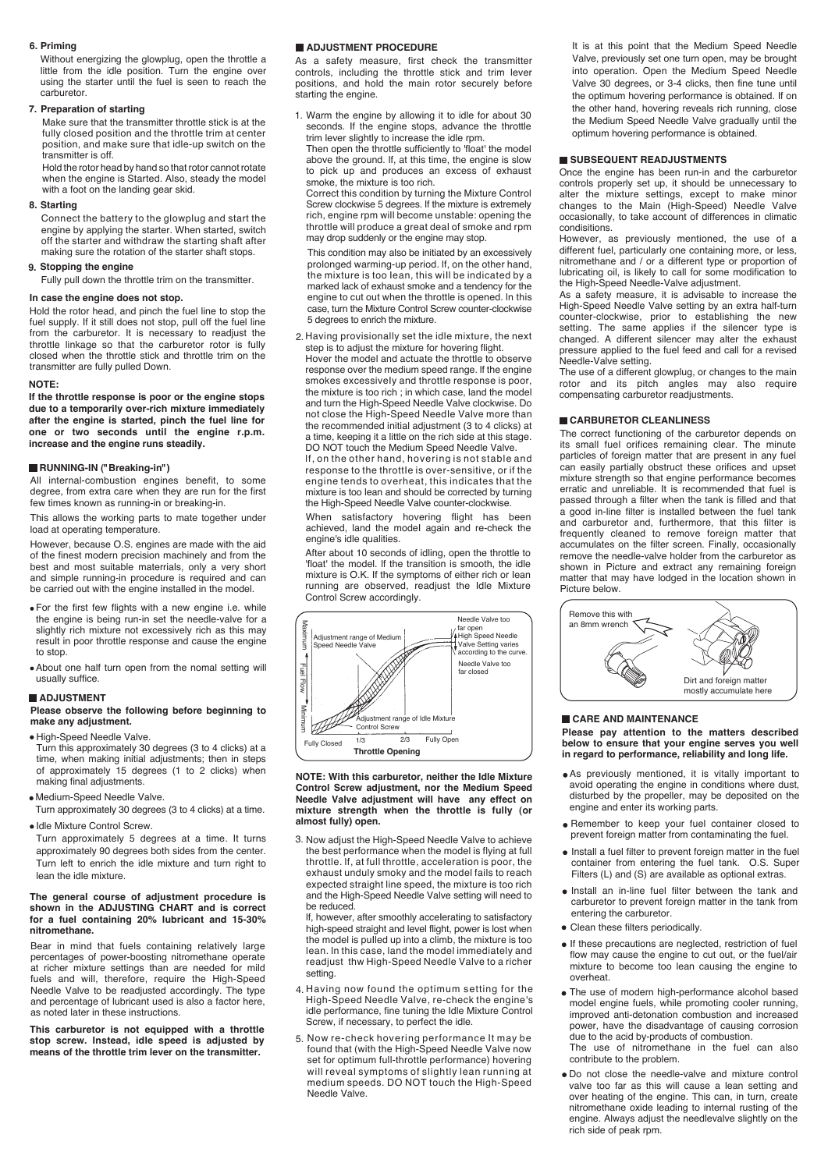#### **6. Priming**

Without energizing the glowplug, open the throttle a little from the idle position. Turn the engine over using the starter until the fuel is seen to reach the carburetor.

#### **7. Preparation of starting**

Make sure that the transmitter throttle stick is at the fully closed position and the throttle trim at center position, and make sure that idle-up switch on the transmitter is off.

Hold the rotor head by hand so that rotor cannot rotate when the engine is Started. Also, steady the model with a foot on the landing gear skid.

#### **Starting 8.**

Connect the battery to the glowplug and start the engine by applying the starter. When started, switch off the starter and withdraw the starting shaft after making sure the rotation of the starter shaft stops.

#### **Stopping the engine 9.**

Fully pull down the throttle trim on the transmitter.

#### **In case the engine does not stop.**

Hold the rotor head, and pinch the fuel line to stop the fuel supply. If it still does not stop, pull off the fuel line from the carburetor. It is necessary to readjust the throttle linkage so that the carburetor rotor is fully closed when the throttle stick and throttle trim on the transmitter are fully pulled Down.

#### **NOTE:**

**If the throttle response is poor or the engine stops due to a temporarily over-rich mixture immediately after the engine is started, pinch the fuel line for one or two seconds until the engine r.p.m. increase and the engine runs steadily.** 

#### **RUNNING-IN ("Breaking-in")**

All internal-combustion engines benefit, to some degree, from extra care when they are run for the first few times known as running-in or breaking-in.

This allows the working parts to mate together under load at operating temperature.

However, because O.S. engines are made with the aid of the finest modern precision machinely and from the best and most suitable materrials, only a very short and simple running-in procedure is required and can be carried out with the engine installed in the model.

- For the first few flights with a new engine i.e. while the engine is being run-in set the needle-valve for a slightly rich mixture not excessively rich as this may result in poor throttle response and cause the engine to stop.
- About one half turn open from the nomal setting will usually suffice.

#### **ADJUSTMENT**

#### **Please observe the following before beginning to make any adjustment.**

· High-Speed Needle Valve.

- Turn this approximately 30 degrees (3 to 4 clicks) at a time, when making initial adjustments; then in steps of approximately 15 degrees (1 to 2 clicks) when making final adjustments.
- Medium-Speed Needle Valve.
- Turn approximately 30 degrees (3 to 4 clicks) at a time.

· Idle Mixture Control Screw. Turn approximately 5 degrees at a time. It turns approximately 90 degrees both sides from the center.

#### **The general course of adjustment procedure is shown in the ADJUSTING CHART and is correct for a fuel containing 20% lubricant and 15-30%**  Turn left to enrich the idle mixture and turn right to lean the idle mixture.

**nitromethane.** Bear in mind that fuels containing relatively large percentages of power-boosting nitromethane operate at richer mixture settings than are needed for mild fuels and will, therefore, require the High-Speed Needle Valve to be readjusted accordingly. The type and percentage of lubricant used is also a factor here,

**This carburetor is not equipped with a throttle stop screw. Instead, idle speed is adjusted by means of the throttle trim lever on the transmitter.**

as noted later in these instructions.

#### **ADJUSTMENT PROCEDURE**

As a safety measure, first check the transmitter controls, including the throttle stick and trim lever positions, and hold the main rotor securely before starting the engine.

Warm the engine by allowing it to idle for about 30 1. seconds. If the engine stops, advance the throttle trim lever slightly to increase the idle rpm. Then open the throttle sufficiently to 'float' the model

above the ground. lf, at this time, the engine is slow to pick up and produces an excess of exhaust smoke, the mixture is too rich.

Correct this condition by turning the Mixture Control Screw clockwise 5 degrees. lf the mixture is extremely rich, engine rpm will become unstable: opening the throttle will produce a great deal of smoke and rpm may drop suddenly or the engine may stop.

This condition may also be initiated by an excessively prolonged warming-up period. lf, on the other hand, the mixture is too Iean, this wiIl be indicated by a marked lack of exhaust smoke and a tendency for the engine to cut out when the throttle is opened. ln this case, turn the Mixture Control Screw counter-clockwise 5 degrees to enrich the mixture.

2. Having provisionally set the idle mixture, the next step is to adjust the mixture for hovering flight.

Hover the model and actuate the throttle to observe response over the medium speed range. lf the engine smokes excessiveIy and throttle response is poor, the mixture is too rich ; in which case, land the model and turn the High-Speed Needle Valve clockwise. Do not close the High-Speed NeedIe Valve more than the recommended initial adjustment (3 to 4 clicks) at a time, keeping it a little on the rich side at this stage. DO NOT touch the Medium Speed Needle Valve.

lf, on the other hand, hovering is not stable and response to the throttIe is over-sensitive, or if the engine tends to overheat, this indicates that the mixture is too lean and should be corrected by turning the High-Speed Needle Valve counter-clockwise.

When satisfactory hovering flight has been achieved, land the modeI again and re-check the engine's idle qualities.

After about 10 seconds of idling, open the throttle to 'float' the model. lf the transition is smooth, the idle mixture is O.K. If the symptoms of either rich or Iean running are observed, readjust the Idle Mixture Control Screw accordingly.



**NOTE: With this carburetor, neither the Idle Mixture Control Screw adjustment, nor the Medium Speed Needle Valve adjustment will have any effect on mixture strength when the throttle is fully (or almost fully) open.**

3. Now adjust the High-Speed Needle Valve to achieve the best performance when the model is flying at full throttle. lf, at full throttle, acceleration is poor, the exhaust unduly smoky and the model fails to reach expected straight line speed, the mixture is too rich and the High-Speed Needle Valve setting will need to be reduced.

If, however, after smoothly acceIerating to satisfactory high-speed straight and level flight, power is lost when the model is puIled up into a climb, the mixture is too lean. ln this case, land the model immediately and readjust thw High-Speed Needle Valve to a richer setting.

- 4. Having now found the optimum setting for the High-Speed Needle Valve, re-check the engine's idle performance, fine tuning the Idle Mixture Control Screw, if necessary, to perfect the idle.
- Now re-check hovering performance It may be 5. Now re-check hovering performance It may be<br>found that (with the High-Speed Needle Valve now set for optimum full-throttle performance) hovering will reveal symptoms of slightly lean running at medium speeds. DO NOT touch the High-Speed Needle Valve.

It is at this point that the Medium Speed Needle Valve, previously set one turn open, may be brought into operation. Open the Medium Speed Needle Valve 30 degrees, or 3-4 clicks, then fine tune until the optimum hovering performance is obtained. If on the other hand, hovering reveals rich running, close the Medium Speed Needle Valve gradually until the optimum hovering performance is obtained.

#### **SUBSEQUENT READJUSTMENTS**

Once the engine has been run-in and the carburetor controls properly set up, it should be unnecessary to alter the mixture settings, except to make minor changes to the Main (High-Speed) Needle Valve occasionally, to take account of differences in climatic condisitions.

However, as previously mentioned, the use of a different fuel, particularly one containing more, or less, nitromethane and / or a different type or proportion of lubricating oil, is likely to call for some modification to the High-Speed Needle-Valve adjustment.

As a safety measure, it is advisable to increase the High-Speed Needle Valve setting by an extra half-turn counter-clockwise, prior to establishing the new setting. The same applies if the silencer type is changed. A different silencer may alter the exhaust pressure applied to the fuel feed and call for a revised Needle-Valve setting.

The use of a different glowplug, or changes to the main rotor and its pitch angles may also require compensating carburetor readjustments.

#### **CARBURETOR CLEANLINESS**

The correct functioning of the carburetor depends on its small fuel orifices remaining clear. The minute particles of foreign matter that are present in any fuel can easily partially obstruct these orifices and upset mixture strength so that engine performance becomes erratic and unreliable. It is recommended that fuel is passed through a filter when the tank is filled and that a good in-line filter is installed between the fuel tank and carburetor and, furthermore, that this filter is frequently cleaned to remove foreign matter that accumulates on the filter screen. Finally, occasionally remove the needle-valve holder from the carburetor as shown in Picture and extract any remaining foreign matter that may have lodged in the location shown in Picture below.



#### **CARE AND MAINTENANCE**

**Please pay attention to the matters described below to ensure that your engine serves you well in regard to performance, reliability and long life.**

- As previously mentioned, it is vitally important to avoid operating the engine in conditions where dust, disturbed by the propeller, may be deposited on the engine and enter its working parts.
- Remember to keep your fuel container closed to prevent foreign matter from contaminating the fuel.
- $\bullet$  Install a fuel filter to prevent foreign matter in the fuel container from entering the fuel tank. O.S. Super Filters (L) and (S) are available as optional extras.
- Install an in-line fuel filter between the tank and carburetor to prevent foreign matter in the tank from entering the carburetor.
- Clean these filters periodically.
- If these precautions are neglected, restriction of fuel flow may cause the engine to cut out, or the fuel/air mixture to become too lean causing the engine to overheat.
- The use of modern high-performance alcohol based model engine fuels, while promoting cooler running, improved anti-detonation combustion and increased power, have the disadvantage of causing corrosion due to the acid by-products of combustion.

The use of nitromethane in the fuel can also contribute to the problem.

Do not close the needle-valve and mixture control valve too far as this will cause a lean setting and over heating of the engine. This can, in turn, create nitromethane oxide leading to internal rusting of the engine. Always adjust the needlevalve slightly on the rich side of peak rpm.